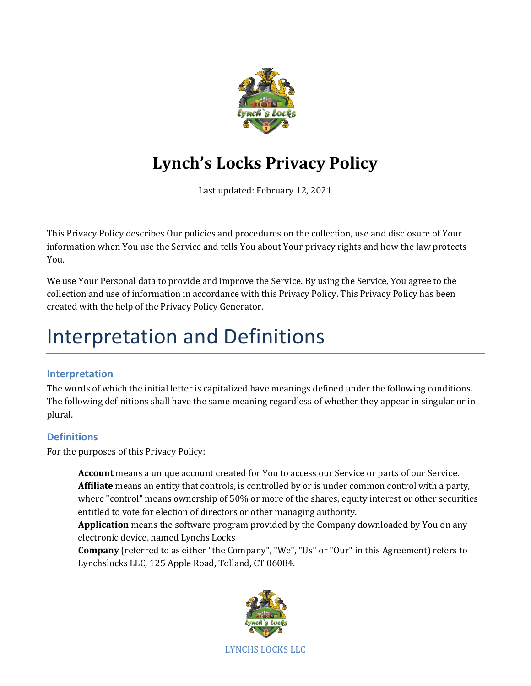

## **Lynch's Locks Privacy Policy**

Last updated: February 12, 2021

This Privacy Policy describes Our policies and procedures on the collection, use and disclosure of Your information when You use the Service and tells You about Your privacy rights and how the law protects You.

We use Your Personal data to provide and improve the Service. By using the Service, You agree to the collection and use of information in accordance with this Privacy Policy. This Privacy Policy has been created with the help of the [Privacy Policy Generator.](https://www.privacypolicies.com/privacy-policy-generator/)

## Interpretation and Definitions

### **Interpretation**

The words of which the initial letter is capitalized have meanings defined under the following conditions. The following definitions shall have the same meaning regardless of whether they appear in singular or in plural.

### **Definitions**

For the purposes of this Privacy Policy:

**Account** means a unique account created for You to access our Service or parts of our Service. **Affiliate** means an entity that controls, is controlled by or is under common control with a party, where "control" means ownership of 50% or more of the shares, equity interest or other securities entitled to vote for election of directors or other managing authority.

**Application** means the software program provided by the Company downloaded by You on any electronic device, named Lynchs Locks

**Company** (referred to as either "the Company", "We", "Us" or "Our" in this Agreement) refers to Lynchslocks LLC, 125 Apple Road, Tolland, CT 06084.

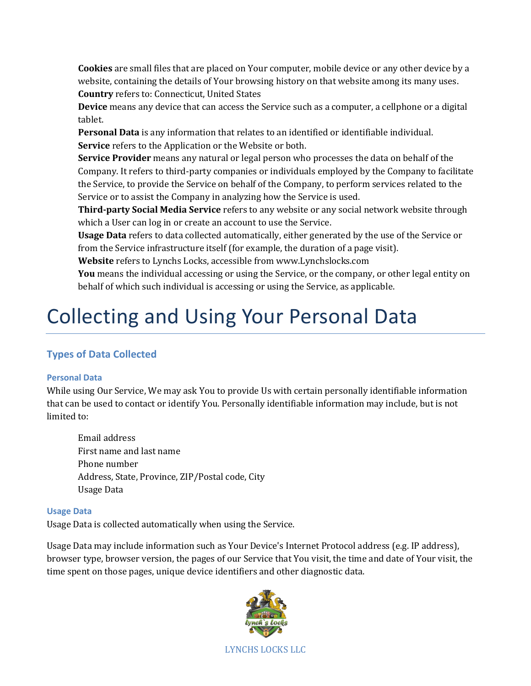**Cookies** are small files that are placed on Your computer, mobile device or any other device by a website, containing the details of Your browsing history on that website among its many uses. **Country** refers to: Connecticut, United States

**Device** means any device that can access the Service such as a computer, a cellphone or a digital tablet.

**Personal Data** is any information that relates to an identified or identifiable individual. **Service** refers to the Application or the Website or both.

**Service Provider** means any natural or legal person who processes the data on behalf of the Company. It refers to third-party companies or individuals employed by the Company to facilitate the Service, to provide the Service on behalf of the Company, to perform services related to the Service or to assist the Company in analyzing how the Service is used.

**Third-party Social Media Service** refers to any website or any social network website through which a User can log in or create an account to use the Service.

**Usage Data** refers to data collected automatically, either generated by the use of the Service or from the Service infrastructure itself (for example, the duration of a page visit).

**Website** refers to Lynchs Locks, accessible fro[m www.Lynchslocks.com](file:///C:/Users/bop47507/AppData/Local/Packages/Microsoft.MicrosoftEdge_8wekyb3d8bbwe/TempState/Downloads/www.Lynchslocks.com)

**You** means the individual accessing or using the Service, or the company, or other legal entity on behalf of which such individual is accessing or using the Service, as applicable.

# Collecting and Using Your Personal Data

### **Types of Data Collected**

### **Personal Data**

While using Our Service, We may ask You to provide Us with certain personally identifiable information that can be used to contact or identify You. Personally identifiable information may include, but is not limited to:

Email address First name and last name Phone number Address, State, Province, ZIP/Postal code, City Usage Data

#### **Usage Data**

Usage Data is collected automatically when using the Service.

Usage Data may include information such as Your Device's Internet Protocol address (e.g. IP address), browser type, browser version, the pages of our Service that You visit, the time and date of Your visit, the time spent on those pages, unique device identifiers and other diagnostic data.

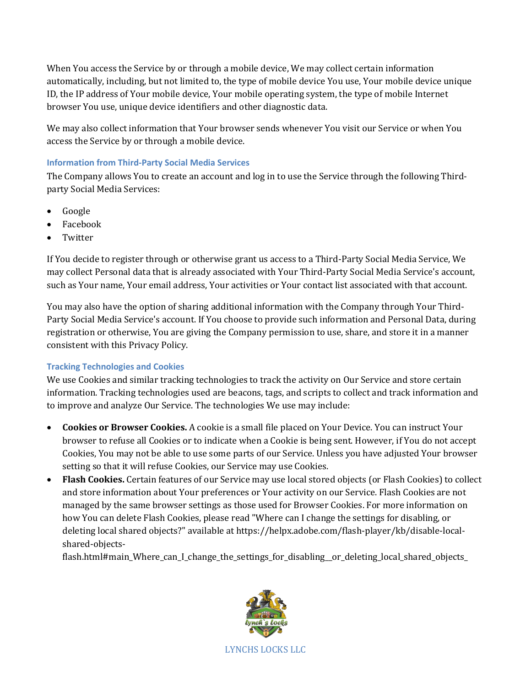When You access the Service by or through a mobile device, We may collect certain information automatically, including, but not limited to, the type of mobile device You use, Your mobile device unique ID, the IP address of Your mobile device, Your mobile operating system, the type of mobile Internet browser You use, unique device identifiers and other diagnostic data.

We may also collect information that Your browser sends whenever You visit our Service or when You access the Service by or through a mobile device.

#### **Information from Third-Party Social Media Services**

The Company allows You to create an account and log in to use the Service through the following Thirdparty Social Media Services:

- Google
- Facebook
- **Twitter**

If You decide to register through or otherwise grant us access to a Third-Party Social Media Service, We may collect Personal data that is already associated with Your Third-Party Social Media Service's account, such as Your name, Your email address, Your activities or Your contact list associated with that account.

You may also have the option of sharing additional information with the Company through Your Third-Party Social Media Service's account. If You choose to provide such information and Personal Data, during registration or otherwise, You are giving the Company permission to use, share, and store it in a manner consistent with this Privacy Policy.

### **Tracking Technologies and Cookies**

We use Cookies and similar tracking technologies to track the activity on Our Service and store certain information. Tracking technologies used are beacons, tags, and scripts to collect and track information and to improve and analyze Our Service. The technologies We use may include:

- **Cookies or Browser Cookies.** A cookie is a small file placed on Your Device. You can instruct Your browser to refuse all Cookies or to indicate when a Cookie is being sent. However, if You do not accept Cookies, You may not be able to use some parts of our Service. Unless you have adjusted Your browser setting so that it will refuse Cookies, our Service may use Cookies.
- **Flash Cookies.** Certain features of our Service may use local stored objects (or Flash Cookies) to collect and store information about Your preferences or Your activity on our Service. Flash Cookies are not managed by the same browser settings as those used for Browser Cookies. For more information on how You can delete Flash Cookies, please read "Where can I change the settings for disabling, or deleting local shared objects?" available a[t https://helpx.adobe.com/flash-player/kb/disable-local](https://helpx.adobe.com/flash-player/kb/disable-local-shared-objects-flash.html#main_Where_can_I_change_the_settings_for_disabling__or_deleting_local_shared_objects_)[shared-objects-](https://helpx.adobe.com/flash-player/kb/disable-local-shared-objects-flash.html#main_Where_can_I_change_the_settings_for_disabling__or_deleting_local_shared_objects_)

[flash.html#main\\_Where\\_can\\_I\\_change\\_the\\_settings\\_for\\_disabling\\_\\_or\\_deleting\\_local\\_shared\\_objects\\_](https://helpx.adobe.com/flash-player/kb/disable-local-shared-objects-flash.html#main_Where_can_I_change_the_settings_for_disabling__or_deleting_local_shared_objects_)

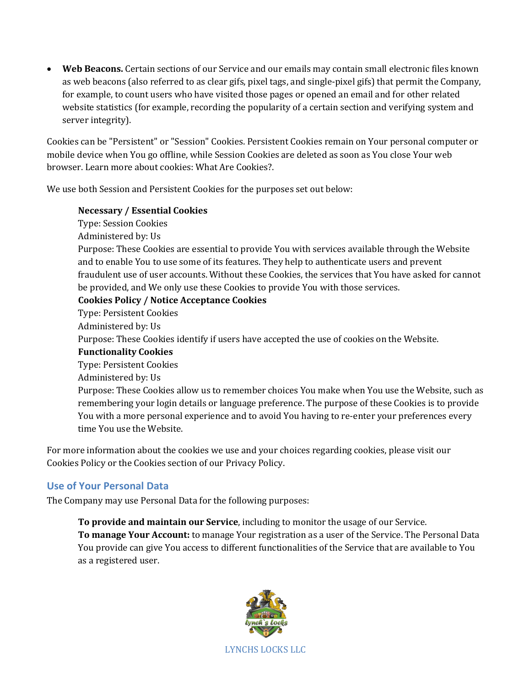• **Web Beacons.** Certain sections of our Service and our emails may contain small electronic files known as web beacons (also referred to as clear gifs, pixel tags, and single-pixel gifs) that permit the Company, for example, to count users who have visited those pages or opened an email and for other related website statistics (for example, recording the popularity of a certain section and verifying system and server integrity).

Cookies can be "Persistent" or "Session" Cookies. Persistent Cookies remain on Your personal computer or mobile device when You go offline, while Session Cookies are deleted as soon as You close Your web browser. Learn more about cookies[: What Are Cookies?.](https://www.privacypolicies.com/blog/cookies/)

We use both Session and Persistent Cookies for the purposes set out below:

#### **Necessary / Essential Cookies**

Type: Session Cookies Administered by: Us Purpose: These Cookies are essential to provide You with services available through the Website and to enable You to use some of its features. They help to authenticate users and prevent fraudulent use of user accounts. Without these Cookies, the services that You have asked for cannot be provided, and We only use these Cookies to provide You with those services. **Cookies Policy / Notice Acceptance Cookies** Type: Persistent Cookies Administered by: Us Purpose: These Cookies identify if users have accepted the use of cookies on the Website. **Functionality Cookies** Type: Persistent Cookies Administered by: Us Purpose: These Cookies allow us to remember choices You make when You use the Website, such as remembering your login details or language preference. The purpose of these Cookies is to provide You with a more personal experience and to avoid You having to re-enter your preferences every time You use the Website.

For more information about the cookies we use and your choices regarding cookies, please visit our Cookies Policy or the Cookies section of our Privacy Policy.

### **Use of Your Personal Data**

The Company may use Personal Data for the following purposes:

**To provide and maintain our Service**, including to monitor the usage of our Service. **To manage Your Account:** to manage Your registration as a user of the Service. The Personal Data You provide can give You access to different functionalities of the Service that are available to You as a registered user.

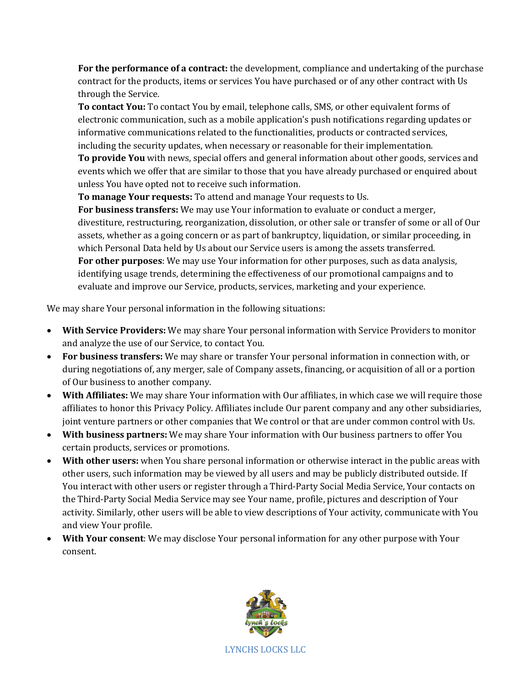**For the performance of a contract:** the development, compliance and undertaking of the purchase contract for the products, items or services You have purchased or of any other contract with Us through the Service.

**To contact You:** To contact You by email, telephone calls, SMS, or other equivalent forms of electronic communication, such as a mobile application's push notifications regarding updates or informative communications related to the functionalities, products or contracted services, including the security updates, when necessary or reasonable for their implementation.

**To provide You** with news, special offers and general information about other goods, services and events which we offer that are similar to those that you have already purchased or enquired about unless You have opted not to receive such information.

**To manage Your requests:** To attend and manage Your requests to Us.

**For business transfers:** We may use Your information to evaluate or conduct a merger, divestiture, restructuring, reorganization, dissolution, or other sale or transfer of some or all of Our assets, whether as a going concern or as part of bankruptcy, liquidation, or similar proceeding, in which Personal Data held by Us about our Service users is among the assets transferred. **For other purposes**: We may use Your information for other purposes, such as data analysis, identifying usage trends, determining the effectiveness of our promotional campaigns and to evaluate and improve our Service, products, services, marketing and your experience.

We may share Your personal information in the following situations:

- **With Service Providers:** We may share Your personal information with Service Providers to monitor and analyze the use of our Service, to contact You.
- **For business transfers:** We may share or transfer Your personal information in connection with, or during negotiations of, any merger, sale of Company assets, financing, or acquisition of all or a portion of Our business to another company.
- **With Affiliates:** We may share Your information with Our affiliates, in which case we will require those affiliates to honor this Privacy Policy. Affiliates include Our parent company and any other subsidiaries, joint venture partners or other companies that We control or that are under common control with Us.
- **With business partners:** We may share Your information with Our business partners to offer You certain products, services or promotions.
- **With other users:** when You share personal information or otherwise interact in the public areas with other users, such information may be viewed by all users and may be publicly distributed outside. If You interact with other users or register through a Third-Party Social Media Service, Your contacts on the Third-Party Social Media Service may see Your name, profile, pictures and description of Your activity. Similarly, other users will be able to view descriptions of Your activity, communicate with You and view Your profile.
- **With Your consent**: We may disclose Your personal information for any other purpose with Your consent.

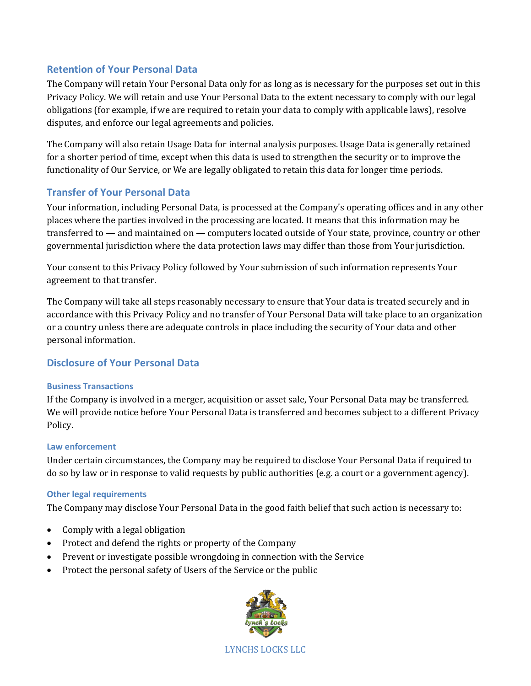### **Retention of Your Personal Data**

The Company will retain Your Personal Data only for as long as is necessary for the purposes set out in this Privacy Policy. We will retain and use Your Personal Data to the extent necessary to comply with our legal obligations (for example, if we are required to retain your data to comply with applicable laws), resolve disputes, and enforce our legal agreements and policies.

The Company will also retain Usage Data for internal analysis purposes. Usage Data is generally retained for a shorter period of time, except when this data is used to strengthen the security or to improve the functionality of Our Service, or We are legally obligated to retain this data for longer time periods.

### **Transfer of Your Personal Data**

Your information, including Personal Data, is processed at the Company's operating offices and in any other places where the parties involved in the processing are located. It means that this information may be transferred to — and maintained on — computers located outside of Your state, province, country or other governmental jurisdiction where the data protection laws may differ than those from Your jurisdiction.

Your consent to this Privacy Policy followed by Your submission of such information represents Your agreement to that transfer.

The Company will take all steps reasonably necessary to ensure that Your data is treated securely and in accordance with this Privacy Policy and no transfer of Your Personal Data will take place to an organization or a country unless there are adequate controls in place including the security of Your data and other personal information.

### **Disclosure of Your Personal Data**

#### **Business Transactions**

If the Company is involved in a merger, acquisition or asset sale, Your Personal Data may be transferred. We will provide notice before Your Personal Data is transferred and becomes subject to a different Privacy Policy.

#### **Law enforcement**

Under certain circumstances, the Company may be required to disclose Your Personal Data if required to do so by law or in response to valid requests by public authorities (e.g. a court or a government agency).

#### **Other legal requirements**

The Company may disclose Your Personal Data in the good faith belief that such action is necessary to:

- Comply with a legal obligation
- Protect and defend the rights or property of the Company
- Prevent or investigate possible wrongdoing in connection with the Service
- Protect the personal safety of Users of the Service or the public

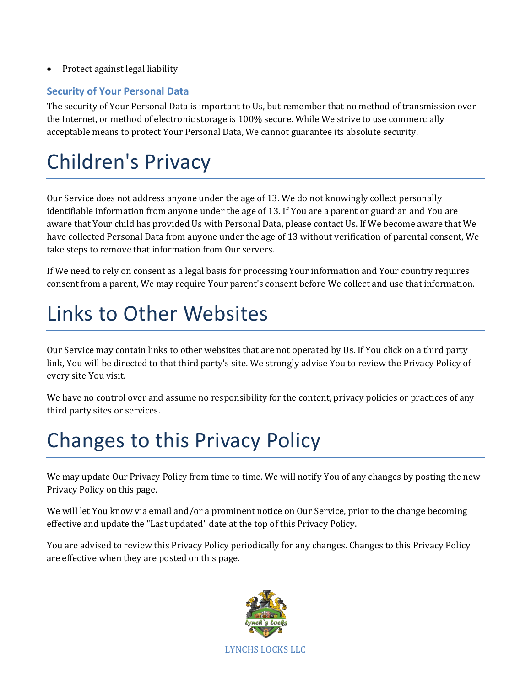• Protect against legal liability

### **Security of Your Personal Data**

The security of Your Personal Data is important to Us, but remember that no method of transmission over the Internet, or method of electronic storage is 100% secure. While We strive to use commercially acceptable means to protect Your Personal Data, We cannot guarantee its absolute security.

## Children's Privacy

Our Service does not address anyone under the age of 13. We do not knowingly collect personally identifiable information from anyone under the age of 13. If You are a parent or guardian and You are aware that Your child has provided Us with Personal Data, please contact Us. If We become aware that We have collected Personal Data from anyone under the age of 13 without verification of parental consent, We take steps to remove that information from Our servers.

If We need to rely on consent as a legal basis for processing Your information and Your country requires consent from a parent, We may require Your parent's consent before We collect and use that information.

## Links to Other Websites

Our Service may contain links to other websites that are not operated by Us. If You click on a third party link, You will be directed to that third party's site. We strongly advise You to review the Privacy Policy of every site You visit.

We have no control over and assume no responsibility for the content, privacy policies or practices of any third party sites or services.

## Changes to this Privacy Policy

We may update Our Privacy Policy from time to time. We will notify You of any changes by posting the new Privacy Policy on this page.

We will let You know via email and/or a prominent notice on Our Service, prior to the change becoming effective and update the "Last updated" date at the top of this Privacy Policy.

You are advised to review this Privacy Policy periodically for any changes. Changes to this Privacy Policy are effective when they are posted on this page.